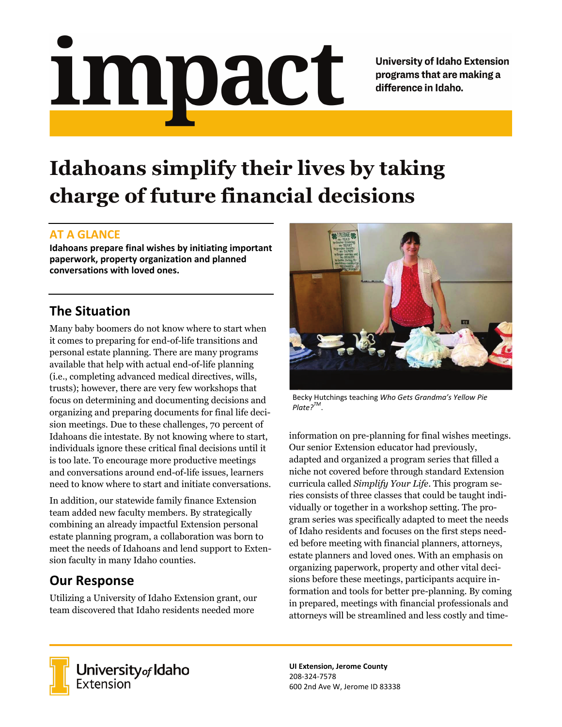# impact

**University of Idaho Extension** programs that are making a difference in Idaho.

# **Idahoans simplify their lives by taking charge of future financial decisions**

#### **AT A GLANCE**

**Idahoans prepare final wishes by initiating important paperwork, property organization and planned conversations with loved ones.**

### **The Situation**

Many baby boomers do not know where to start when it comes to preparing for end-of-life transitions and personal estate planning. There are many programs available that help with actual end-of-life planning (i.e., completing advanced medical directives, wills, trusts); however, there are very few workshops that focus on determining and documenting decisions and organizing and preparing documents for final life decision meetings. Due to these challenges, 70 percent of Idahoans die intestate. By not knowing where to start, individuals ignore these critical final decisions until it is too late. To encourage more productive meetings and conversations around end-of-life issues, learners need to know where to start and initiate conversations.

In addition, our statewide family finance Extension team added new faculty members. By strategically combining an already impactful Extension personal estate planning program, a collaboration was born to meet the needs of Idahoans and lend support to Extension faculty in many Idaho counties.

## **Our Response**

Utilizing a University of Idaho Extension grant, our team discovered that Idaho residents needed more



Becky Hutchings teaching *Who Gets Grandma's Yellow Pie Plate?TM*.

information on pre-planning for final wishes meetings. Our senior Extension educator had previously, adapted and organized a program series that filled a niche not covered before through standard Extension curricula called *Simplify Your Life*. This program series consists of three classes that could be taught individually or together in a workshop setting. The program series was specifically adapted to meet the needs of Idaho residents and focuses on the first steps needed before meeting with financial planners, attorneys, estate planners and loved ones. With an emphasis on organizing paperwork, property and other vital decisions before these meetings, participants acquire information and tools for better pre-planning. By coming in prepared, meetings with financial professionals and attorneys will be streamlined and less costly and time-



University of Idaho<br>Extension

**UI Extension, Jerome County** 208-324-7578 600 2nd Ave W, Jerome ID 83338